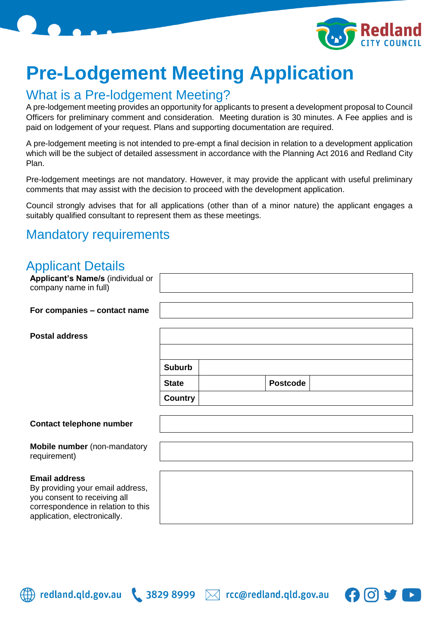

# **Pre-Lodgement Meeting Application**

#### What is a Pre-lodgement Meeting?

A pre-lodgement meeting provides an opportunity for applicants to present a development proposal to Council Officers for preliminary comment and consideration. Meeting duration is 30 minutes. A Fee applies and is paid on lodgement of your request. Plans and supporting documentation are required.

A pre-lodgement meeting is not intended to pre-empt a final decision in relation to a development application which will be the subject of detailed assessment in accordance with the Planning Act 2016 and Redland City Plan.

Pre-lodgement meetings are not mandatory. However, it may provide the applicant with useful preliminary comments that may assist with the decision to proceed with the development application.

Council strongly advises that for all applications (other than of a minor nature) the applicant engages a suitably qualified consultant to represent them as these meetings.

#### Mandatory requirements

#### Applicant Details

| Applicant's Name/s (individual or<br>company name in full)                                                                                                     |               |                 |  |
|----------------------------------------------------------------------------------------------------------------------------------------------------------------|---------------|-----------------|--|
| For companies - contact name                                                                                                                                   |               |                 |  |
| <b>Postal address</b>                                                                                                                                          |               |                 |  |
|                                                                                                                                                                |               |                 |  |
|                                                                                                                                                                | <b>Suburb</b> |                 |  |
|                                                                                                                                                                | <b>State</b>  | <b>Postcode</b> |  |
|                                                                                                                                                                | Country       |                 |  |
| <b>Contact telephone number</b>                                                                                                                                |               |                 |  |
| Mobile number (non-mandatory<br>requirement)                                                                                                                   |               |                 |  |
| <b>Email address</b><br>By providing your email address,<br>you consent to receiving all<br>correspondence in relation to this<br>application, electronically. |               |                 |  |



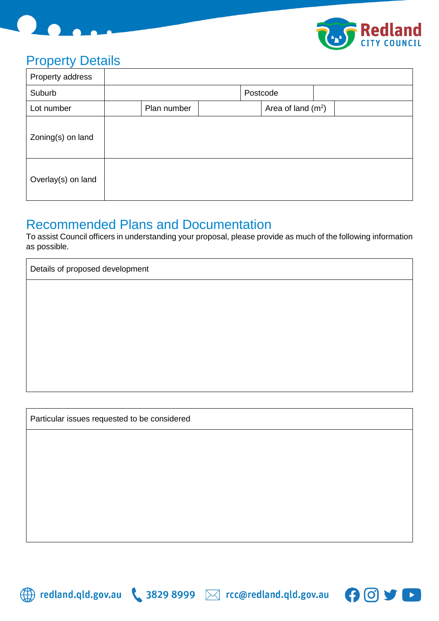



# Property Details

| Property address   |             |  |                      |  |
|--------------------|-------------|--|----------------------|--|
| Suburb             |             |  | Postcode             |  |
| Lot number         | Plan number |  | Area of land $(m^2)$ |  |
| Zoning(s) on land  |             |  |                      |  |
| Overlay(s) on land |             |  |                      |  |

# Recommended Plans and Documentation

To assist Council officers in understanding your proposal, please provide as much of the following information as possible.

Details of proposed development

Particular issues requested to be considered